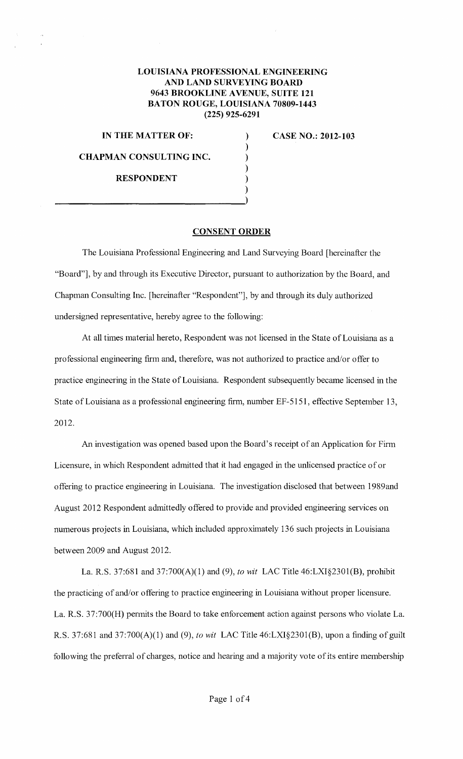## **LOUISIANA PROFESSIONAL ENGINEERING AND LAND SURVEYING BOARD 9643 BROOKLINE A VENUE, SUITE 121 BATON ROUGE, LOUISIANA 70809-1443 (225) 925-6291**

) ) ) ) ) )

**IN THE MATTER OF:** 

**CHAPMAN CONSULTING INC.** 

**RESPONDENT** 

 $\frac{1}{2}$ 

**CASE NO.: 2012-103** 

**CONSENT ORDER** 

The Louisiana Professional Engineering and Land Surveying Board [hereinafter the "Board"], by and through its Executive Director, pursuant to authorization by the Board, and Chapman Consulting Inc. [hereinafter "Respondent"], by and through its duly authorized undersigned representative, hereby agree to the following:

At all times material hereto, Respondent was not licensed in the State of Louisiana as a professional engineering firm and, therefore, was not authorized to practice and/or offer to practice engineering in the State of Louisiana. Respondent subsequently became licensed in the State of Louisiana as a professional engineering firm, number EF-5151, effective September 13, 2012.

An investigation was opened based upon the Board's receipt of an Application for Finn Licensure, in which Respondent admitted that it had engaged in the unlicensed practice of or offering to practice engineering in Louisiana. The investigation disclosed that between 1989and August 2012 Respondent admittedly offered to provide and provided engineering services on numerous projects in Louisiana, which included approximately 136 such projects in Louisiana between 2009 and August 2012.

La. R.S. 37:681 and 37:700(A)(1) and (9), *to wit* LAC Title 46:LXI§2301(B), prohibit the practicing of and/or offering to practice engineering in Louisiana without proper licensure. La. R.S. 37:700(H) permits the Board to take enforcement action against persons who violate La. R.S. 37:681 and 37:700(A)(1) and (9), *to wit* LAC Title 46:LXI§2301(B), upon a finding of guilt following the preferral of charges, notice and hearing and a majority vote of its entire membership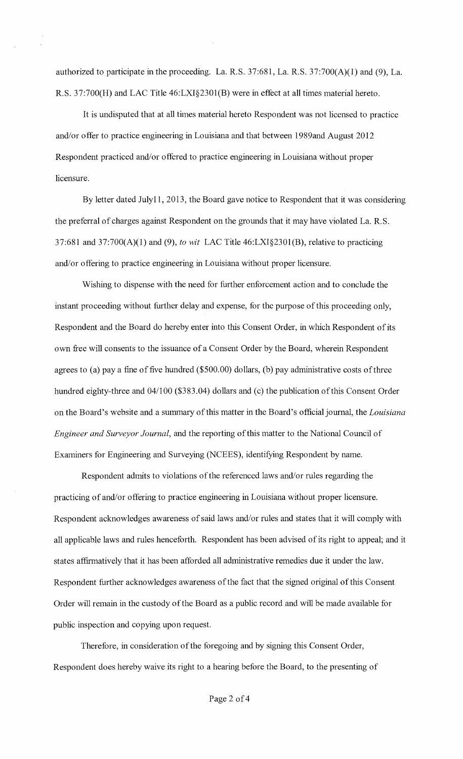authorized to participate in the proceeding. La. R.S. 37:681, La. R.S. 37:700(A)(l) and (9), La. R.S. 37:700(H) and LAC Title 46:LXI§230l(B) were in effect at all times material hereto.

It is undisputed that at all times material hereto Respondent was not licensed to practice and/or offer to practice engineering in Louisiana and that between 1989and August 2012 Respondent practiced and/or offered to practice engineering in Louisiana without proper licensure.

By letter dated Julyll, 2013, the Board gave notice to Respondent that it was considering the preferral of charges against Respondent on the grounds that it may have violated La. R.S. 37:681 and 37:700(A)(l) and (9), *to wit* LAC Title 46:LXI§230l(B), relative to practicing and/or offering to practice engineering in Louisiana without proper licensure.

Wishing to dispense with the need for further enforcement action and to conclude the instant proceeding without further delay and expense, for the purpose of this proceeding only, Respondent and the Board do hereby enter into this Consent Order, in which Respondent of its own free will consents to the issuance of a Consent Order by the Board, wherein Respondent agrees to (a) pay a fine of five hundred  $(\$500.00)$  dollars, (b) pay administrative costs of three hundred eighty-three and 04/100 (\$383.04) dollars and (c) the publication of this Consent Order on the Board's website and a summary of this matter in the Board's official journal, the *Louisiana Engineer and Surveyor Journal,* and the reporting of this matter to the National Council of Examiners for Engineering and Surveying (NCEES), identifying Respondent by name.

Respondent admits to violations of the referenced laws and/or rules regarding the practicing of and/or offering to practice engineering in Louisiana without proper licensure. Respondent acknowledges awareness of said laws and/or rules and states that it will comply with all applicable laws and rules henceforth. Respondent has been advised of its right to appeal; and it states affirmatively that it has been afforded all administrative remedies due it under the law. Respondent further acknowledges awareness of the fact that the signed original of this Consent Order will remain in the custody of the Board as a public record and will be made available for public inspection and copying upon request.

Therefore, in consideration of the foregoing and by signing this Consent Order, Respondent does hereby waive its right to a hearing before the Board, to the presenting of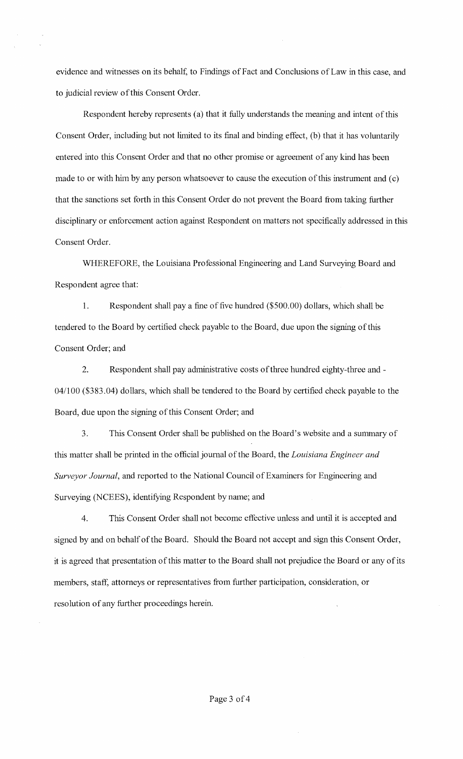evidence and witnesses on its behalf, to Findings of Fact and Conclusions of Law in this case, and to judicial review of this Consent Order.

Respondent hereby represents (a) that it fully understands the meaning and intent of this Consent Order, including but not limited to its final and binding effect, (b) that it has voluntarily entered into this Consent Order and that no other promise or agreement of any kind has been made to or with him by any person whatsoever to cause the execution of this instrument and (c) that the sanctions set forth in this Consent Order do not prevent the Board from taking further disciplinary or enforcement action against Respondent on matters not specifically addressed in this Consent Order.

WHEREFORE, the Louisiana Professional Engineering and Land Surveying Board and Respondent agree that:

1. Respondent shall pay a fine of five hundred (\$500.00) dollars, which shall be tendered to the Board by certified check payable to the Board, due upon the signing of this Consent Order; and

2. Respondent shall pay administrative costs of three hundred eighty-three and-04/100 (\$383.04) dollars, which shall be tendered to the Board by certified check payable to the Board, due upon the signing of this Consent Order; and

3. This Consent Order shall be published on the Board's website and a sunnnary of this matter shall be printed in the official journal of the Board, the *Louisiana Engineer and Surveyor Journal,* and reported to the National Council of Examiners for Engineering and Surveying (NCEES), identifying Respondent by name; and

4. This Consent Order shall not become effective unless and until it is accepted and signed by and on behalf of the Board. Should the Board not accept and sign this Consent Order, it is agreed that presentation of this matter to the Board shall not prejudice the Board or any of its members, staff, attorneys or representatives from further participation, consideration, or resolution of any further proceedings herein.